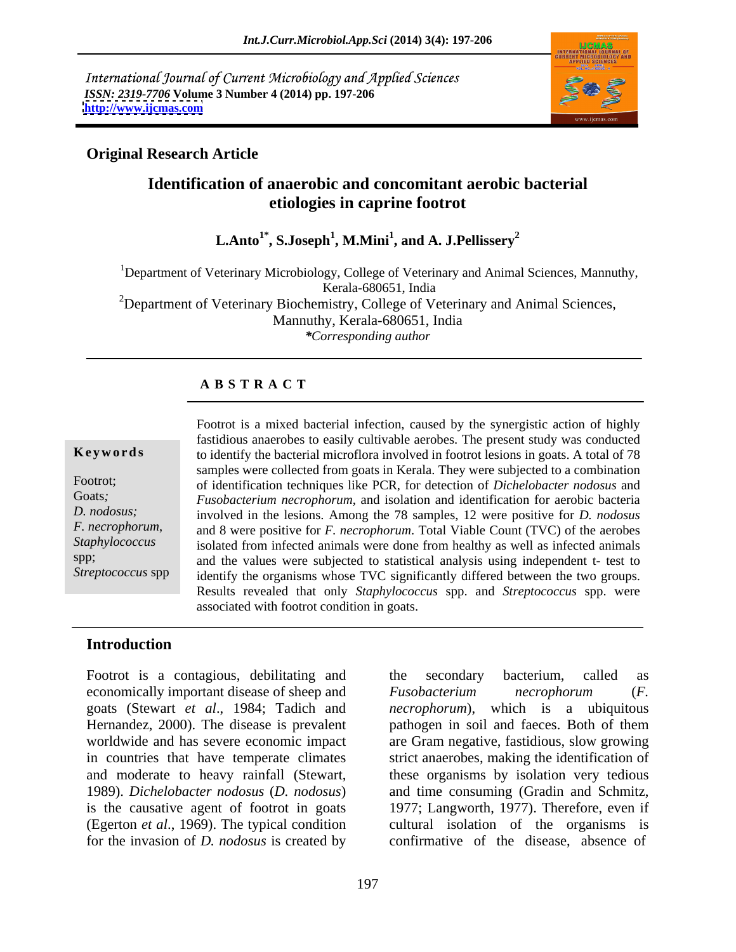International Journal of Current Microbiology and Applied Sciences *ISSN: 2319-7706* **Volume 3 Number 4 (2014) pp. 197-206 <http://www.ijcmas.com>**



### **Original Research Article**

# **Identification of anaerobic and concomitant aerobic bacterial etiologies in caprine footrot**

**L.Anto1\* , S.Joseph<sup>1</sup> , M.Mini<sup>1</sup> , and A. J.Pellissery<sup>2</sup>**

<sup>1</sup>Department of Veterinary Microbiology, College of Veterinary and Animal Sciences, Mannuthy,<br>Kerala-680651, India Kerala-680651, India <sup>2</sup>Department of Veterinary Biochemistry, College of Veterinary and Animal Sciences, Mannuthy, Kerala-680651, India *\*Corresponding author*

### **A B S T R A C T**

*F. necrophorum*,

**Keywords** to identify the bacterial microflora involved in footrot lesions in goats. A total of 78 Footrot; of identification techniques like PCR, for detection of *Dichelobacter nodosus* and Goats*; Fusobacterium necrophorum*, and isolation and identification for aerobic bacteria *D. nodosus;*  involved in the lesions. Among the 78 samples, 12 were positive for *D. nodosus* Staphylococcus isolated from infected animals were done from healthy as well as infected animals spp; and the values were subjected to statistical analysis using independent t- test to Streptococcus spp identify the organisms whose TVC significantly differed between the two groups. Footrot is a mixed bacterial infection, caused by the synergistic action of highly fastidious anaerobes to easily cultivable aerobes. The present study was conducted samples were collected from goats in Kerala. They were subjected to a combination and 8 were positive for *F. necrophorum*. Total Viable Count (TVC) of the aerobes Results revealed that only *Staphylococcus* spp. and *Streptococcus* spp. were associated with footrot condition in goats.

### **Introduction**

Footrot is a contagious, debilitating and the secondary bacterium, called as economically important disease of sheep and Fusobacterium necrophorum (F. goats (Stewart *et al*., 1984; Tadich and (Egerton *et al*., 1969). The typical condition for the invasion of *D. nodosus* is created by

Hernandez, 2000). The disease is prevalent pathogen in soil and faeces. Both of them worldwide and has severe economic impact are Gram negative, fastidious, slow growing in countries that have temperate climates strict anaerobes, making the identification of and moderate to heavy rainfall (Stewart, these organisms by isolation very tedious 1989). *Dichelobacter nodosus* (*D. nodosus*) and time consuming (Gradin and Schmitz, is the causative agent of footrot in goats 1977; Langworth, 1977). Therefore, even if the secondary bacterium, called as *Fusobacterium necrophorum* (*F. necrophorum*), which is a ubiquitous cultural isolation of the organisms is confirmative of the disease, absence of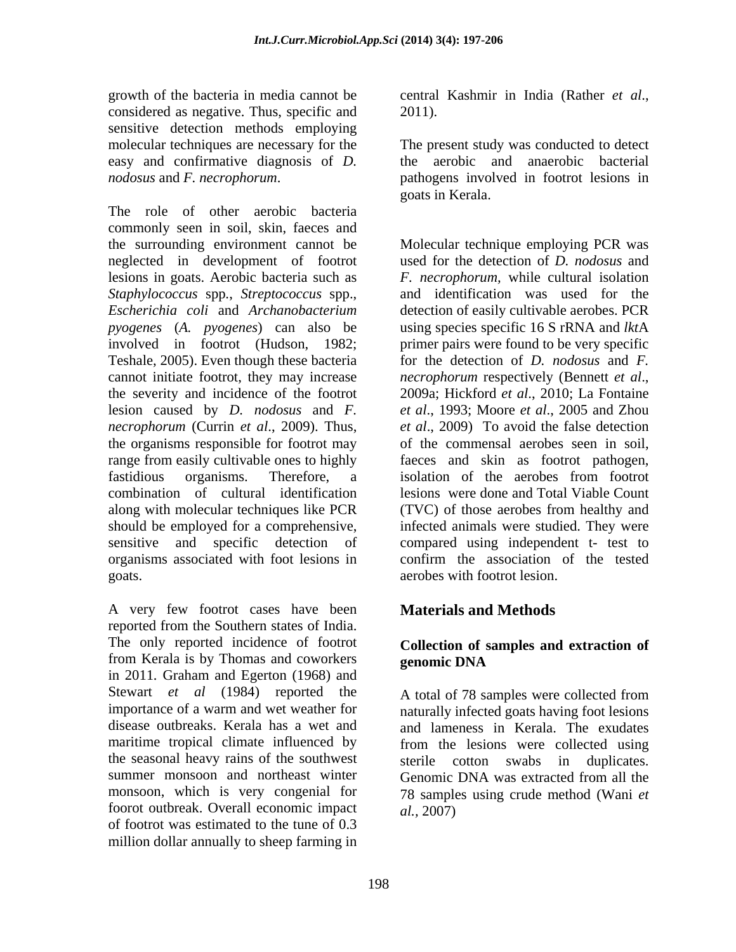growth of the bacteria in media cannot be central Kashmir in India (Rather et al., considered as negative. Thus, specific and sensitive detection methods employing molecular techniques are necessary for the The present study was conducted to detect easy and confirmative diagnosis of *D.* 

commonly seen in soil, skin, faeces and the surrounding environment cannot be neglected in development of footrot lesions in goats. Aerobic bacteria such as *Staphylococcus* spp*.*, *Streptococcus* spp., and identification was used for the *Escherichia coli* and *Archanobacterium*  detection of easily cultivable aerobes. PCR *pyogenes* (*A. pyogenes*) can also be involved in footrot (Hudson,1982; primer pairs were found to be very specific Teshale, 2005). Even though these bacteria for the detection of *D. nodosus* and *F.*  cannot initiate footrot, they may increase *necrophorum* respectively (Bennett et al., the severity and incidence of the footrot 2009a; Hickford et al., 2010; La Fontaine lesion caused by *D. nodosus* and *F. necrophorum* (Currin *et al*., 2009). Thus, the organisms responsible for footrot may of the commensal aerobes seen in soil, range from easily cultivable ones to highly faeces and skin as footrot pathogen, fastidious organisms. Therefore, a combination of cultural identification along with molecular techniques like PCR (TVC) of those aerobes from healthy and should be employed for a comprehensive, infected animals were studied. They were sensitive and specific detection of compared using independent t- test to organisms associated with foot lesions in goats. aerobes with footrot lesion.

A very few footrot cases have been reported from the Southern states of India. The only reported incidence of footrot from Kerala is by Thomas and coworkers **genomic DNA** in 2011*.* Graham and Egerton (1968) and Stewart *et al* (1984) reported the A total of 78 samples were collected from importance of a warm and wet weather for naturally infected goats having foot lesions disease outbreaks. Kerala has a wet and and lameness in Kerala. The exudates maritime tropical climate influenced by from the lesions were collected using the seasonal heavy rains of the southwest sterile cotton swabs in duplicates. summer monsoon and northeast winter Genomic DNA was extracted from all the monsoon, which is very congenial for foorot outbreak. Overall economic impact of footrot was estimated to the tune of 0.3 million dollar annually to sheep farming in

central Kashmir in India (Rather *et al*., 2011).

*nodosus* and *F. necrophorum*.<br>
The role of other aerobic bacteria<br>
The role of other aerobic bacteria the aerobic and anaerobic bacterial pathogens involved in footrot lesions in goats in Kerala.

> Molecular technique employing PCR was used for the detection of *D. nodosus* and *F. necrophorum,* while cultural isolation using species specific 16 S rRNA and *lkt*A *necrophorum* respectively (Bennett *et al*., 2009a; Hickford *et al*., 2010; La Fontaine *et al*., 1993; Moore *et al*., 2005 and Zhou *et al*., 2009) To avoid the false detection faeces and skin as footrot pathogen,<br>isolation of the aerobes from footrot lesions were done and Total Viable Count confirm the association of the tested

# **Materials and Methods**

## **Collection of samples and extraction of genomic DNA**

A total of 78 samples were collected from sterile cotton swabs in duplicates. Genomic DNA was extracted from all the 78 samples using crude method (Wani *et al.,* 2007)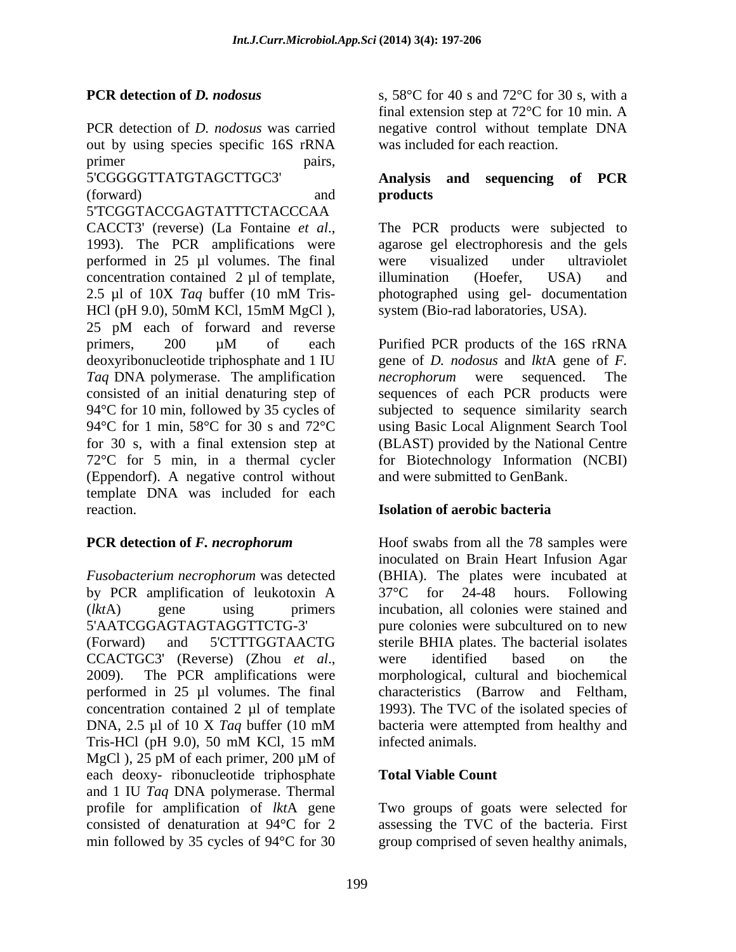out by using species specific 16S rRNA primer pairs,

5'TCGGTACCGAGTATTTCTACCCAA CACCT3' (reverse) (La Fontaine *et al.*, The PCR products were subjected to 1993). The PCR amplifications were agarose gel electrophoresis and the gels performed in 25 µl volumes. The final concentration contained 2 µl of template, illumination (Hoefer, USA) and 2.5 µl of 10X *Taq* buffer (10 mM Tris- HCl (pH 9.0), 50mM KCl, 15mM MgCl), system (Bio-rad laboratories, USA). 25 pM each of forward and reverse primers, 200 µM of each Purified PCR products of the 16S rRNA deoxyribonucleotide triphosphate and 1 IU gene of *D. nodosus* and *lkt*A gene of *F. Taq* DNA polymerase. The amplification consisted of an initial denaturing step of sequences of each PCR products were 94<sup>o</sup>C for 10 min, followed by 35 cycles of subjected to sequence similarity search 94°C for 1 min, 58°C for 30 s and 72°C using Basic Local Alignment Search Tool for 30 s, with a final extension step at (BLAST) provided by the National Centre 72°C for 5 min, in a thermal cycler (Eppendorf). A negative control without template DNA was included for each reaction. **Isolation of aerobic bacteria**

by PCR amplification of leukotoxin A 37°C for 24-48 hours. Following concentration contained  $2 \mu l$  of template MgCl ), 25 pM of each primer, 200 µM of each deoxy- ribonucleotide triphosphate and 1 IU *Taq* DNA polymerase. Thermal profile for amplification of *lkt*A gene Two groups of goatswere selected for consisted of denaturation at 94°C for 2 assessing the TVC of the bacteria. First min followed by 35 cycles of 94°C for 30 group comprised of seven healthy animals,

**PCR detection of** *D. nodosus* s, 58°C for 40 s and 72°C for 30 s, with a PCR detection of *D. nodosus* was carried negative control without template DNA final extension step at 72°C for 10 min. A was included for each reaction.

### 5'CGGGGTTATGTAGCTTGC3' **Analysis and sequencing of PCR** (forward) and **products products**

The PCR products were subjected to agarose gel electrophoresis and the gels were visualized under ultraviolet illumination (Hoefer, USA) and photographed using gel- documentation system (Bio-rad laboratories, USA).

Purified PCR products of the 16S rRNA *necrophorum* were sequenced. The for Biotechnology Information (NCBI) and were submitted to GenBank.

**PCR detection of** *F. necrophorum* Hoof swabs from all the 78 samples were *Fusobacterium necrophorum* was detected (BHIA). The plates were incubated at (*lkt*A) gene using primers incubation, all colonies were stained and 5'AATCGGAGTAGTAGGTTCTG-3' pure colonies were subcultured on to new (Forward) and 5'CTTTGGTAACTG sterile BHIA plates. The bacterial isolates CCACTGC3' (Reverse) (Zhou *et al.*, were identified based on the 2009). The PCR amplifications were morphological, cultural and biochemical performed in 25 µl volumes. The final characteristics (Barrow and Feltham, DNA, 2.5 µl of 10 X *Taq* buffer (10 mM Tris-HCl (pH 9.0), 50 mM KCl, 15 mM infected animals. inoculated on Brain Heart Infusion Agar 37°C for 24-48 hours. Following were identified based on the morphological, cultural and biochemical 1993). The TVC of the isolated species of bacteria were attempted from healthy and infected animals.

### **Total Viable Count**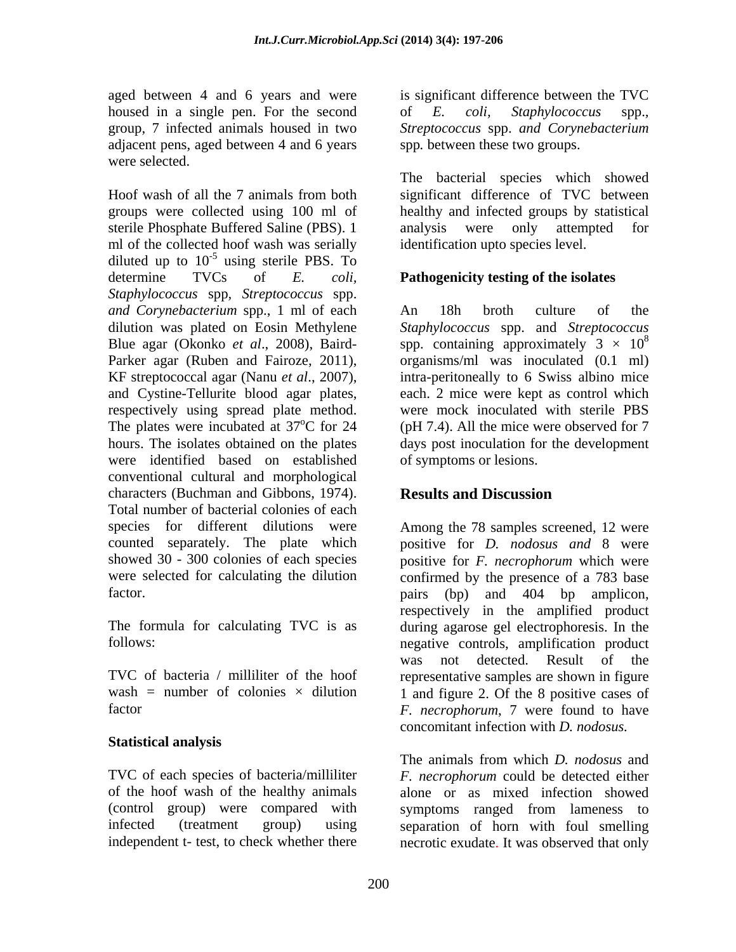aged between 4 and 6 years and were housed in a single pen. For the second of E. coli, Staphylococcus spp., group, 7 infected animals housed in two Streptococcus spp. and Corynebacterium adjacent pens, aged between 4 and 6 years were selected.

Hoof wash of all the 7 animals from both significant difference of TVC between groups were collected using 100 ml of healthy and infected groups by statistical sterile Phosphate Buffered Saline (PBS). 1 ml of the collected hoof wash was serially diluted up to  $10^{-5}$  using sterile PBS. To using sterile PBS. To determine TVCs of *E. coli,* **Pathogenicity testing of the isolates**  *Staphylococcus* spp*, Streptococcus* spp. *and Corynebacterium* spp., 1 ml of each dilution was plated on Eosin Methylene *Staphylococcus* spp. and *Streptococcus* Blue agar (Okonko *et al.*, 2008), Baird- spp. containing approximately  $3 \times 10^8$ Parker agar (Ruben and Fairoze, 2011), organisms/ml was inoculated (0.1 ml) KF streptococcal agar (Nanu *et al*., 2007), intra-peritoneally to 6 Swiss albino mice and Cystine-Tellurite blood agar plates, respectively using spread plate method. The plates were incubated at 37<sup>o</sup>C for 24 hours. The isolates obtained on the plates days post inoculation for the development were identified based on established conventional cultural and morphological characters (Buchman and Gibbons, 1974). **Results and Discussion** Total number of bacterial colonies of each species for different dilutions were Among the 78 samples screened, 12 were counted separately. The plate which positive for *D. nodosus and* 8 were showed 30 - 300 colonies of each species positive for *F. necrophorum* which were were selected for calculating the dilution confirmed by the presence of a 783 base

### **Statistical analysis**

TVC of each species of bacteria/milliliter

is significant difference between the TVC of *E. coli, Staphylococcus* spp.*, Streptococcus* spp. *and Corynebacterium* spp*.* between these two groups.

The bacterial species which showed analysis were only attempted for identification upto species level.

 $^{\circ}$ C for 24 (pH 7.4). All the mice were observed for 7 An 18h broth culture of the 8 each. 2 mice were kept as control which were mock inoculated with sterile PBS of symptoms or lesions.

# **Results and Discussion**

factor. pairs (bp) and 404 bp amplicon, The formula for calculating TVC is as during agarose gel electrophoresis. In the follows: negative controls, amplification product TVC of bacteria / milliliter of the hoof representative samples are shown in figure wash = number of colonies  $\times$  dilution 1 and figure 2. Of the 8 positive cases of factor *F. necrophorum*, 7 were found to have respectively in the amplified product was not detected. Result of the concomitant infection with *D. nodosus.*

of the hoof wash of the healthy animals alone or as mixed infection showed (control group) were compared with symptoms ranged from lameness to infected (treatment group) using separation of horn with foul smelling independent t- test, to check whether there necrotic exudate. It was observed that onlyThe animals from which *D. nodosus* and *F. necrophorum* could be detected either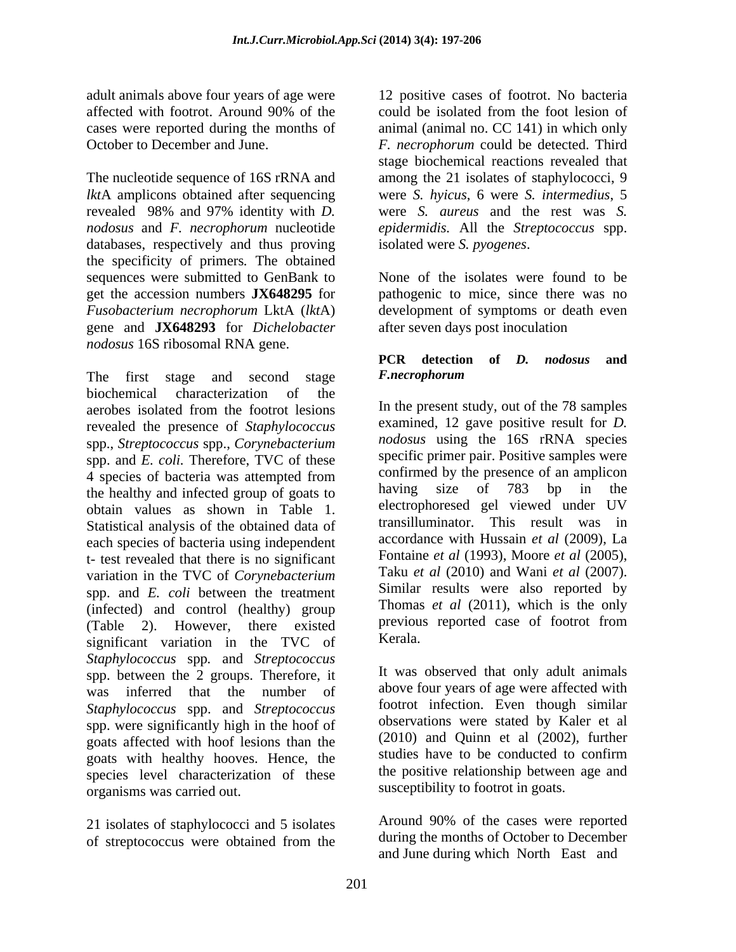The nucleotide sequence of 16S rRNA and among the 21 isolates of staphylococci, 9 *lkt*A amplicons obtained after sequencing revealed 98% and 97% identity with *D. nodosus* and *F. necrophorum* nucleotide *epidermidis.* All the *Streptococcus* spp. databases, respectively and thus proving isolated were S. pyogenes. the specificity of primers*.* The obtained sequences were submitted to GenBank to Solates were found to be Sequences were submitted to GenBank to Solates were found to be get the accession numbers **JX648295** for *Fusobacterium necrophorum* LktA (*lkt*A) development of symptoms or death even gene and **JX648293** for *Dichelobacter nodosus* 16S ribosomal RNA gene.

The first stage and second stage F.necrophorum biochemical characterization of the aerobes isolated from the footrot lesions In the present study, out of the 78 samples revealed the presence of *Staphylococcus* spp., *Streptococcus* spp., *Corynebacterium* spp. and *E. coli.* Therefore, TVC of these 4 species of bacteria was attempted from confirmed by the presence of an amplicon the healthy and infected group of goats to having size of 783 bp in the obtain values as shown in Table 1. Statistical analysis of the obtained data of each species of bacteria using independent t- test revealed that there is no significant variation in the TVC of *Corynebacterium* spp. and *E. coli* between the treatment (infected) and control (healthy) group (Table 2). However, there existed previou significant variation in the TVC of *Staphylococcus* spp*.* and *Streptococcus* spp. between the 2 groups. Therefore, it was inferred that the number of *Staphylococcus* spp. and *Streptococcus* spp. were significantly high in the hoof of goats affected with hoof lesions than the  $(2010)$  and Quinn et al  $(2002)$ , further goats with healthy hooves. Hence, the studies have to be conducted to confirm goats with healthy hooves. Hence, the species level characterization of these organisms was carried out.

21 isolates of staphylococci and 5 isolates

adult animals above four years of age were 12 positive cases of footrot. No bacteria affected with footrot. Around 90% of the could be isolated from the foot lesion of cases were reported during the months of animal (animal no. CC 141) in which only October to December and June. *F. necrophorum* could be detected. Third could be isolated from the foot lesion of stage biochemical reactions revealed that were *S. hyicus*, 6 were *S. intermedius*, 5 were *S. aureus* and the rest was *S.* 

isolated were *S. pyogenes*.<br>None of the isolates were found to be pathogenic to mice, since there was no after seven days post inoculation

### **PCR detection of** *D. nodosus* **and**  *F.necrophorum*

In the present study, out of the 78 samples examined, 12 gave positive result for *D. nodosus* using the 16S rRNA species specific primer pair. Positive samples were confirmed by the presence of an amplicon having size of 783 bp in the electrophoresed gel viewed under UV transilluminator. This result was in accordance with Hussain *et al* (2009), La Fontaine *et al* (1993), Moore *et al* (2005), Taku *et al* (2010) and Wani *et al* (2007). Similar results were also reported by Thomas *et al* (2011), which is the only previous reported case of footrot from Kerala.

It was observed that only adult animals above four years of age were affected with footrot infection. Even though similar observations were stated by Kaler et al (2010) and Quinn et al (2002), further studies have to be conducted to confirm the positive relationship between age and susceptibility to footrot in goats.

of streptococcus were obtained from the during the months of October to December Around 90% of the cases were reported during the months of October to December and June during which North East and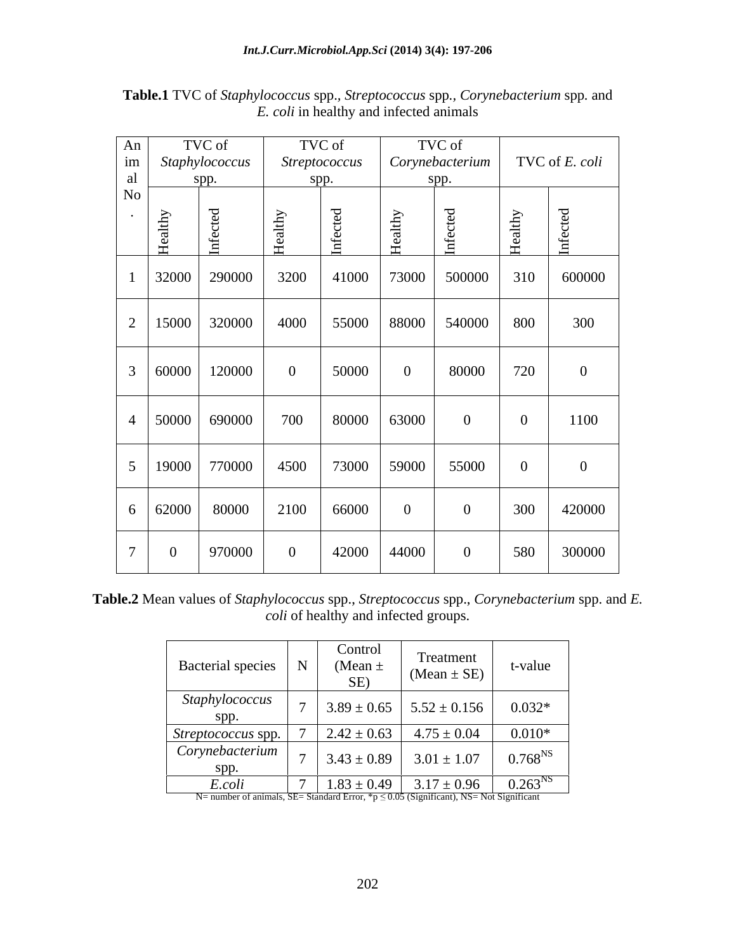| An              |                         | TVC of                  |                | TVC of                             |                               | TVC of          |                   |                |
|-----------------|-------------------------|-------------------------|----------------|------------------------------------|-------------------------------|-----------------|-------------------|----------------|
| im              |                         | Staphylococcus          |                | <b>Streptococcus</b>               |                               | Corynebacterium |                   | TVC of E. coli |
| al              |                         | spp.                    | spp.           |                                    |                               | spp.            |                   |                |
| $\rm No$        |                         |                         |                |                                    |                               |                 |                   |                |
| $\cdot$         | $_{\rm althy}$<br>- fie | ed<br>⊷<br>ు<br>$Inf$ e | althy<br>E     | $\mathbf{B}$<br>$\circ$<br>$Inf$ e | $\mathop{\mathrm{atdy}}$<br>丘 | ರ               | $1{\rm thy}$<br>⋍ | ਜ਼             |
|                 |                         |                         |                |                                    |                               |                 |                   |                |
|                 |                         | 32000 290000            | 3200           | 41000                              | 73000                         | 500000          | 310               | 600000         |
|                 |                         |                         |                |                                    |                               |                 |                   |                |
| 2               |                         | 15000 320000            | 4000           | 55000                              | 88000                         | 540000          | 800               | 300            |
|                 |                         |                         |                |                                    |                               |                 |                   |                |
|                 |                         |                         |                |                                    |                               |                 |                   |                |
| 3               | 60000                   | 120000                  | $\overline{0}$ | 50000                              | $\overline{0}$                | 80000           | 720               | $\overline{0}$ |
|                 |                         |                         |                |                                    |                               |                 |                   |                |
|                 |                         |                         |                |                                    |                               |                 | $\overline{0}$    |                |
| $\overline{4}$  |                         | 50000 690000            | 700            | 80000                              | 63000                         | $\overline{0}$  |                   | 1100           |
|                 |                         |                         |                |                                    |                               |                 |                   |                |
| $5\overline{)}$ |                         | 19000 770000            | 4500           | 73000                              | 59000                         | 55000           | $\overline{0}$    | $\overline{0}$ |
|                 |                         |                         |                |                                    |                               |                 |                   |                |
|                 |                         |                         |                |                                    |                               |                 |                   |                |
| 6               | 62000                   | 80000                   | 2100           | 66000                              | $\overline{0}$                | $\vert 0 \vert$ | 300               | 420000         |
|                 |                         |                         |                |                                    |                               |                 |                   |                |
| $\overline{7}$  | $\boldsymbol{0}$        | 970000                  | $\theta$       | 42000                              | 44000                         | $\bf{0}$        | 580               | 300000         |
|                 |                         |                         |                |                                    |                               |                 |                   |                |

**Table.1** TVC of *Staphylococcus* spp.*, Streptococcus* spp*., Corynebacterium* spp*.* and *E. coli* in healthy and infected animals

| Table.<br>s of <i>Staphylococcus spp., Streptococcus spp.,</i> (<br>$^{\prime}$ orynebacterium spp. and $L$ .<br>-Nean val<br>™ valuu.<br>. V. VI |
|---------------------------------------------------------------------------------------------------------------------------------------------------|
| and infected groups.<br><i>coli</i> of healthy                                                                                                    |

| Bacterial species                                                                                               | Control<br>(Mean $\pm$<br>SE) | Treatment<br>(Mean $\pm$ SE)       | t-value          |
|-----------------------------------------------------------------------------------------------------------------|-------------------------------|------------------------------------|------------------|
| Staphylococcus<br>spp.                                                                                          |                               | $3.89 \pm 0.65$   $5.52 \pm 0.156$ | $0.032*$         |
| Streptococcus spp. 7                                                                                            |                               | $2.42 \pm 0.63$   $4.75 \pm 0.04$  | $0.010*$         |
| Corynebacterium<br>spp.                                                                                         | $3.43 \pm 0.89$               | $3.01 \pm 1.07$                    | $0.768^{\rm NS}$ |
| E.coli<br>N= number of animals, SE= Standard Error, $\frac{1}{2}p \leq 0.05$ (Significant), NS= Not Significant | $1.83 \pm 0.49$               | $3.17 \pm 0.96$                    | $0.263^{NS}$     |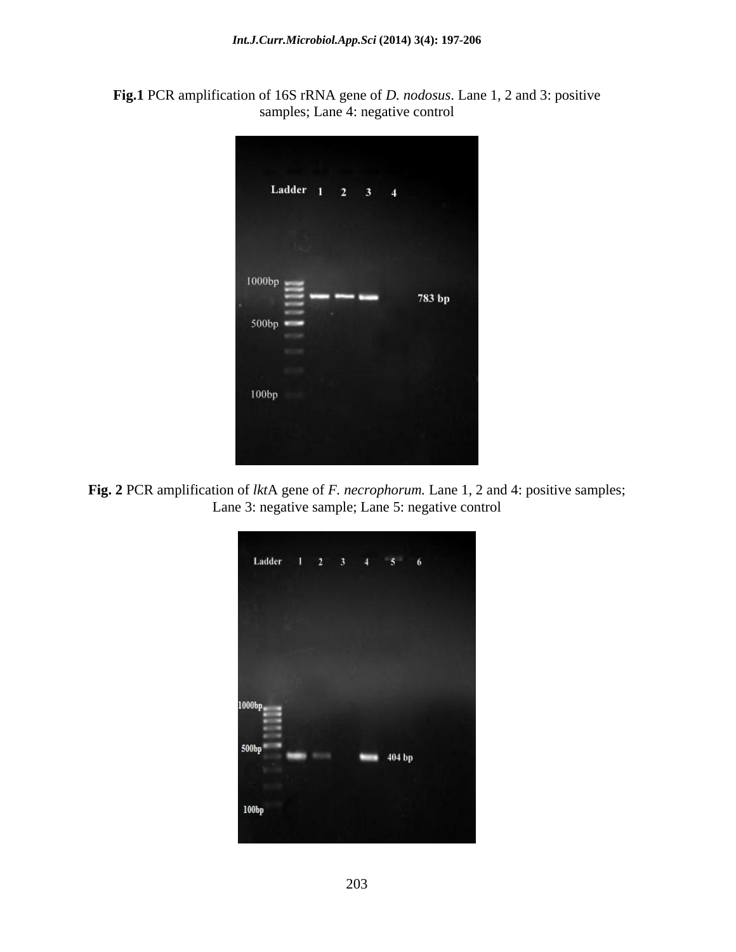



**Fig. 2** PCR amplification of *lkt*A gene of *F. necrophorum.* Lane 1, 2 and 4: positive samples; Lane 3: negative sample; Lane 5: negative control

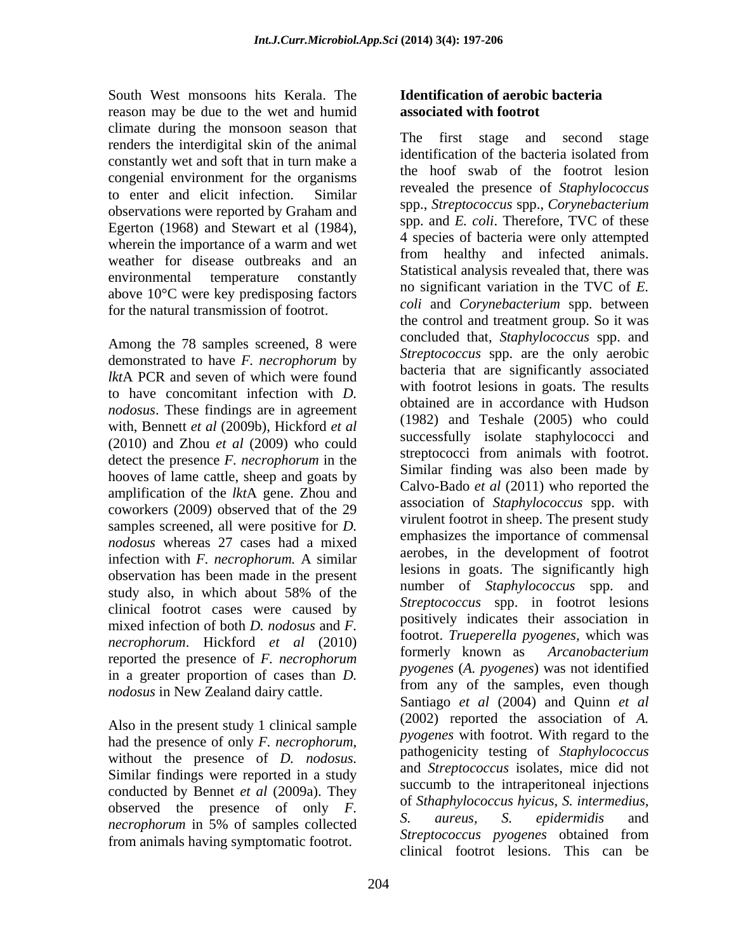South West monsoons hits Kerala. The reason may be due to the wet and humid climate during the monsoon season that<br>readers the intendicitel claim of the enimely and second stage and second stage renders the interdigital skin of the animal<br>identification of the bacteria isolated from constantly wet and soft that in turn make a congenial environment for the organisms to enter and elicit infection. Similar observations were reported by Graham and Egerton (1968) and Stewart et al (1984), weather for disease outbreaks and an environmental temperature constantly above 10°C were key predisposing factors for the natural transmission of footrot.

Among the 78 samples screened, 8 were demonstrated to have *F. necrophorum* by *lkt*A PCR and seven of which were found to have concomitant infection with *D. nodosus*. These findings are in agreement with, Bennett *et al* (2009b), Hickford *et al* (2010) and Zhou *et al* (2009) who could detect the presence *F. necrophorum* in the hooves of lame cattle, sheep and goats by amplification of the *lkt*A gene. Zhou and coworkers (2009) observed that of the 29 samples screened, all were positive for *D. nodosus* whereas 27 cases had a mixed infection with *F. necrophorum.* A similar observation has been made in the present study also, in which about 58% of the clinical footrot cases were caused by mixed infection of both *D. nodosus* and *F. necrophorum.* Hickford *et al* (2010) <sup>1001101</sup> *1001101. I ruepereita pyogenes*, which was *necrophorum*. **6** formerly known as *Arcanobacterium* reported the presence of *F. necrophorum* in a greater proportion of cases than *D. nodosus* in New Zealand dairy cattle.

Also in the present study 1 clinical sample Similar findings were reported in a study conducted by Bennet *et al* (2009a). They observed the presence of only *F*. <sup>of *Sinaphylococcus hyteus*, *S. mermeatus*, *s. of sinaphylococcus hyteus*, *S. epidermidis* and</sup> from animals having symptomatic footrot. Streptococcus pyogenes obtained from

## **Identification of aerobic bacteria associated with footrot**

wherein the importance of a warm and wet  $\frac{4}{5}$  species of bacteria were only attempted had the presence of only *F. necrophorum*,<br>without the presence of *D. nodosus.* pathogenicity testing of *Staphylococcus necrophorum* in 5% of samples collected by antens, by equational and  $\sigma$ The first stage and second stage identification of the bacteria isolated from the hoof swab of the footrot lesion revealed the presence of *Staphylococcus* spp., *Streptococcus* spp., *Corynebacterium* spp. and *E. coli*. Therefore, TVC of these 4 species of bacteria were only attempted from healthy and infected animals. Statistical analysis revealed that, there was no significant variation in the TVC of *E. coli* and *Corynebacterium* spp. between the control and treatment group. So it was concluded that, *Staphylococcus* spp. and *Streptococcus* spp. are the only aerobic bacteria that are significantly associated with footrot lesions in goats. The results obtained are in accordance with Hudson (1982) and Teshale (2005) who could successfully isolate staphylococci and streptococci from animals with footrot. Similar finding was also been made by Calvo-Bado *et al* (2011) who reported the association of *Staphylococcus* spp. with virulent footrot in sheep. The present study emphasizes the importance of commensal aerobes, in the development of footrot lesions in goats. The significantly high number of *Staphylococcus* spp. and *Streptococcus* spp. in footrot lesions positively indicates their association in footrot. *Trueperella pyogenes,* which was formerly known as *Arcanobacterium pyogenes* (*A. pyogenes*) was not identified from any of the samples, even though Santiago *et al* (2004) and Quinn *et al* (2002) reported the association of *A. pyogenes* with footrot. With regard to the pathogenicity testing of *Staphylococcus* and *Streptococcus* isolates, mice did not succumb to the intraperitoneal injections of *Sthaphylococcus hyicus, S. intermedius, S. aureus, S. epidermidis* and *Streptococcus pyogenes* obtained from clinical footrot lesions. This can be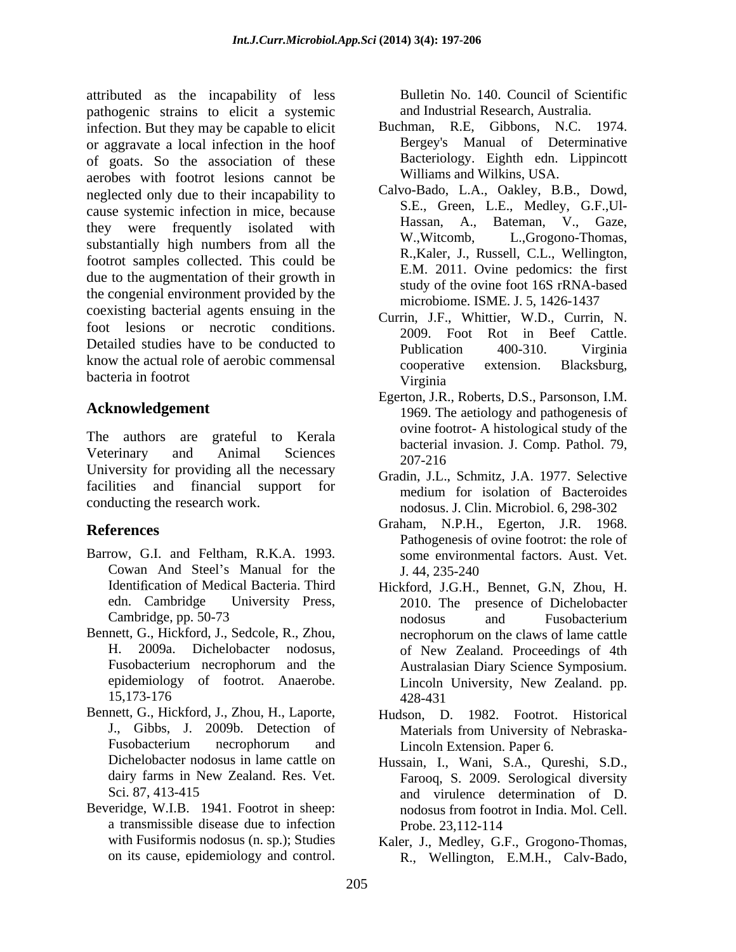attributed as the incapability of less pathogenic strains to elicit a systemic infection. But they may be capable to elicit Buchman, R.E. Gibbons, N.C. 1974. or aggravate a local infection in the hoof of goats. So the association of these aerobes with footrot lesions cannot be neglected only due to their incapability to cause systemic infection in mice, because they were frequently isolated with Hassan, A., substantially high numbers from all the footrot samples collected. This could be due to the augmentation of their growth in the congenial environment provided by the coexisting bacterial agents ensuing in the foot lesions or necrotic conditions. Detailed studies have to be conducted to <br>Publication 400-310. Virginia know the actual role of aerobic commensal cooperative extension. Blacksburg, bacteria in footrot virginia burgh as the inequality of loss Facility No. 140. Council of Scientific<br>scattering the spin state of the spin state of the spin state of the spin state of the spin state of the spin state of the spin state of the spin sta

The authors are grateful to Kerala Veterinary and Animal Sciences  $\frac{6a}{207.216}$ University for providing all the necessary  $207-216$ <br>Constitution of the necessary  $G_{\text{tot}}$  and  $T_{\text{tot}}$ facilities and financial support for the medium for isolation of Bacteroides conducting the research work.

- Barrow, G.I. and Feltham, R.K.A. 1993. Cowan And Steel's Manual for the J. 44, 235-240
- Bennett, G., Hickford, J., Sedcole, R., Zhou, epidemiology of footrot. Anaerobe.
- Bennett, G., Hickford, J., Zhou, H., Laporte,
- Beveridge, W.I.B. 1941. Footrot in sheep: a transmissible disease due to infection

and Industrial Research, Australia.

- Buchman, R.E. Gibbons, N.C. Bergey's Manual of Determinative Bacteriology. Eighth edn. Lippincott Williams and Wilkins, USA.
- Calvo-Bado, L.A., Oakley, B.B., Dowd, S.E., Green, L.E., Medley, G.F.,Ul- Hassan, A., Bateman, V., Gaze, L.,Grogono-Thomas, R.,Kaler, J., Russell, C.L., Wellington, E.M. 2011. Ovine pedomics: the first study of the ovine foot 16S rRNA-based microbiome. ISME. J. 5, 1426-1437
- Currin, J.F., Whittier, W.D., Currin, N. 2009. Foot Rot in Beef Cattle. Publication 400-310. Virginia cooperative extension. Blacksburg, Virginia
- **Acknowledgement 1969**. The aetiology and pathogenesis of Egerton, J.R., Roberts, D.S., Parsonson, I.M. ovine footrot- A histological study of the bacterial invasion. J. Comp. Pathol. 79, 207-216
	- Gradin, J.L., Schmitz, J.A. 1977. Selective medium for isolation of Bacteroides nodosus. J. Clin. Microbiol. 6, 298-302
- **References** Graham, N.P.H., Egerton, J.R. 1968. Pathogenesis of ovine footrot: the role of some environmental factors. Aust. Vet. J. 44, 235-240
	- Identification of Medical Bacteria. Third Hickford, J.G.H., Bennet, G.N, Zhou, H. edn. Cambridge University Press, 2010. The presence of Dichelobacter Cambridge, pp. 50-73 H. 2009a. Dichelobacter nodosus, of New Zealand. Proceedings of 4th Fusobacterium necrophorum and the Australasian Diary Science Symposium. 15,173-176 nodosus and Fusobacterium necrophorum on the claws of lame cattle Lincoln University, New Zealand. pp. 428-431
	- J., Gibbs, J. 2009b. Detection of Materials from University of Nebraska-Fusobacterium necrophorum and Lincoln Extension. Paper 6. Hudson, D. 1982. Footrot. Historical Materials from University of Nebraska- Lincoln Extension. Paper 6.
	- Dichelobacter nodosus in lame cattle on Hussain, I., Wani, S.A., Qureshi, S.D., dairy farms in New Zealand. Res. Vet. Farooq, S. 2009. Serological diversity Sci. 87, 413-415 and virulence determination of D. nodosus from footrot in India. Mol. Cell. Probe. 23,112-114
	- with Fusiformis nodosus (n. sp.); Studies Kaler, J., Medley, G.F., Grogono-Thomas, R., Wellington, E.M.H., Calv-Bado,